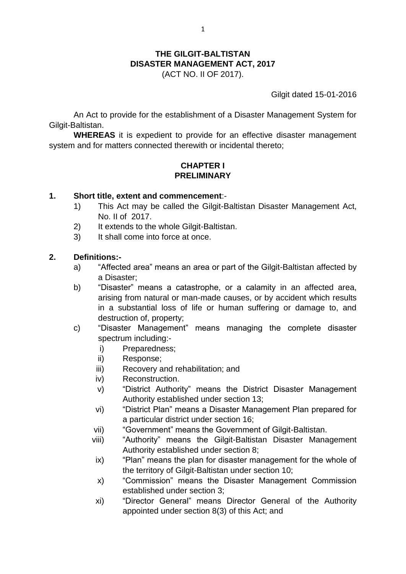# **THE GILGIT-BALTISTAN DISASTER MANAGEMENT ACT, 2017**

(ACT NO. II OF 2017).

Gilgit dated 15-01-2016

An Act to provide for the establishment of a Disaster Management System for Gilgit-Baltistan.

**WHEREAS** it is expedient to provide for an effective disaster management system and for matters connected therewith or incidental thereto;

#### **CHAPTER I PRELIMINARY**

#### **1. Short title, extent and commencement**:-

- 1) This Act may be called the Gilgit-Baltistan Disaster Management Act, No. II of 2017.
- 2) It extends to the whole Gilgit-Baltistan.
- 3) It shall come into force at once.

#### **2. Definitions:-**

- a) "Affected area" means an area or part of the Gilgit-Baltistan affected by a Disaster;
- b) "Disaster" means a catastrophe, or a calamity in an affected area, arising from natural or man-made causes, or by accident which results in a substantial loss of life or human suffering or damage to, and destruction of, property;
- c) "Disaster Management" means managing the complete disaster spectrum including:
	- i) Preparedness;
	- ii) Response;
	- iii) Recovery and rehabilitation; and
	- iv) Reconstruction.
	- v) "District Authority" means the District Disaster Management Authority established under section 13;
	- vi) "District Plan" means a Disaster Management Plan prepared for a particular district under section 16;
	- vii) "Government" means the Government of Gilgit-Baltistan.
	- viii) "Authority" means the Gilgit-Baltistan Disaster Management Authority established under section 8;
	- ix) "Plan" means the plan for disaster management for the whole of the territory of Gilgit-Baltistan under section 10;
	- x) "Commission" means the Disaster Management Commission established under section 3;
	- xi) "Director General" means Director General of the Authority appointed under section 8(3) of this Act; and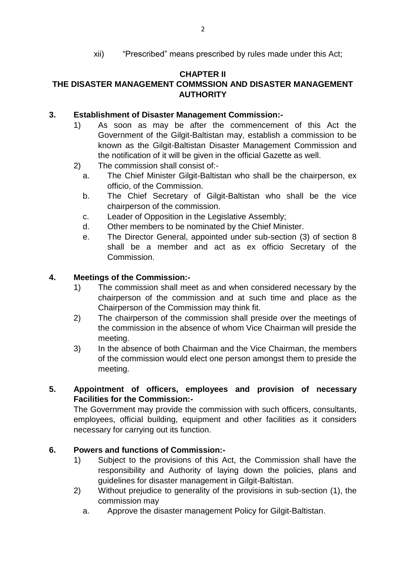xii) "Prescribed" means prescribed by rules made under this Act;

### **CHAPTER II**

## **THE DISASTER MANAGEMENT COMMSSION AND DISASTER MANAGEMENT AUTHORITY**

#### **3. Establishment of Disaster Management Commission:-**

- 1) As soon as may be after the commencement of this Act the Government of the Gilgit-Baltistan may, establish a commission to be known as the Gilgit-Baltistan Disaster Management Commission and the notification of it will be given in the official Gazette as well.
- 2) The commission shall consist of:
	- a. The Chief Minister Gilgit-Baltistan who shall be the chairperson, ex officio, of the Commission.
	- b. The Chief Secretary of Gilgit-Baltistan who shall be the vice chairperson of the commission.
	- c. Leader of Opposition in the Legislative Assembly;
	- d. Other members to be nominated by the Chief Minister.
	- e. The Director General, appointed under sub-section (3) of section 8 shall be a member and act as ex officio Secretary of the Commission.

#### **4. Meetings of the Commission:-**

- 1) The commission shall meet as and when considered necessary by the chairperson of the commission and at such time and place as the Chairperson of the Commission may think fit.
- 2) The chairperson of the commission shall preside over the meetings of the commission in the absence of whom Vice Chairman will preside the meeting.
- 3) In the absence of both Chairman and the Vice Chairman, the members of the commission would elect one person amongst them to preside the meeting.

### **5. Appointment of officers, employees and provision of necessary Facilities for the Commission:-**

The Government may provide the commission with such officers, consultants, employees, official building, equipment and other facilities as it considers necessary for carrying out its function.

### **6. Powers and functions of Commission:-**

- 1) Subject to the provisions of this Act, the Commission shall have the responsibility and Authority of laying down the policies, plans and guidelines for disaster management in Gilgit-Baltistan.
- 2) Without prejudice to generality of the provisions in sub-section (1), the commission may
	- a. Approve the disaster management Policy for Gilgit-Baltistan.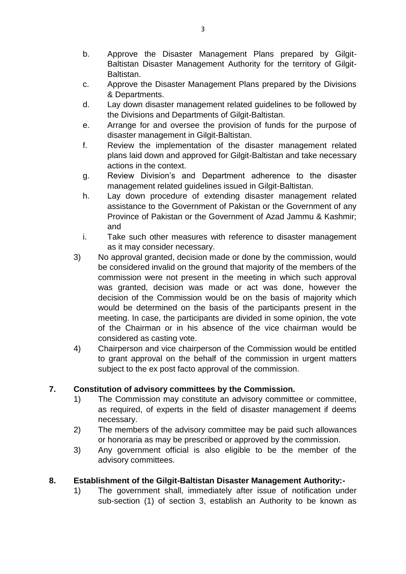- b. Approve the Disaster Management Plans prepared by Gilgit-Baltistan Disaster Management Authority for the territory of Gilgit-Baltistan.
- c. Approve the Disaster Management Plans prepared by the Divisions & Departments.
- d. Lay down disaster management related guidelines to be followed by the Divisions and Departments of Gilgit-Baltistan.
- e. Arrange for and oversee the provision of funds for the purpose of disaster management in Gilgit-Baltistan.
- f. Review the implementation of the disaster management related plans laid down and approved for Gilgit-Baltistan and take necessary actions in the context.
- g. Review Division's and Department adherence to the disaster management related guidelines issued in Gilgit-Baltistan.
- h. Lay down procedure of extending disaster management related assistance to the Government of Pakistan or the Government of any Province of Pakistan or the Government of Azad Jammu & Kashmir; and
- i. Take such other measures with reference to disaster management as it may consider necessary.
- 3) No approval granted, decision made or done by the commission, would be considered invalid on the ground that majority of the members of the commission were not present in the meeting in which such approval was granted, decision was made or act was done, however the decision of the Commission would be on the basis of majority which would be determined on the basis of the participants present in the meeting. In case, the participants are divided in some opinion, the vote of the Chairman or in his absence of the vice chairman would be considered as casting vote.
- 4) Chairperson and vice chairperson of the Commission would be entitled to grant approval on the behalf of the commission in urgent matters subject to the ex post facto approval of the commission.

### **7. Constitution of advisory committees by the Commission.**

- 1) The Commission may constitute an advisory committee or committee, as required, of experts in the field of disaster management if deems necessary.
- 2) The members of the advisory committee may be paid such allowances or honoraria as may be prescribed or approved by the commission.
- 3) Any government official is also eligible to be the member of the advisory committees.

### **8. Establishment of the Gilgit-Baltistan Disaster Management Authority:-**

1) The government shall, immediately after issue of notification under sub-section (1) of section 3, establish an Authority to be known as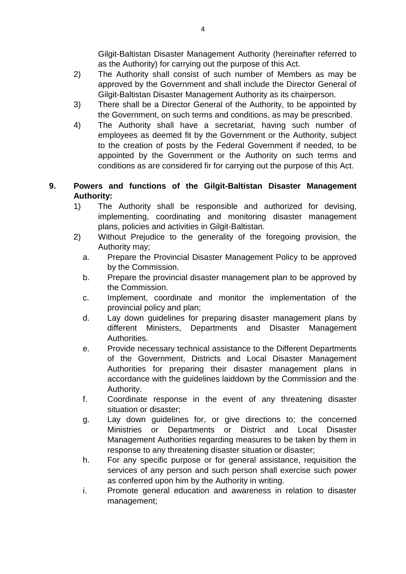Gilgit-Baltistan Disaster Management Authority (hereinafter referred to as the Authority) for carrying out the purpose of this Act.

- 2) The Authority shall consist of such number of Members as may be approved by the Government and shall include the Director General of Gilgit-Baltistan Disaster Management Authority as its chairperson.
- 3) There shall be a Director General of the Authority, to be appointed by the Government, on such terms and conditions, as may be prescribed.
- 4) The Authority shall have a secretariat, having such number of employees as deemed fit by the Government or the Authority, subject to the creation of posts by the Federal Government if needed, to be appointed by the Government or the Authority on such terms and conditions as are considered fir for carrying out the purpose of this Act.

### **9. Powers and functions of the Gilgit-Baltistan Disaster Management Authority:**

- 1) The Authority shall be responsible and authorized for devising, implementing, coordinating and monitoring disaster management plans, policies and activities in Gilgit-Baltistan.
- 2) Without Prejudice to the generality of the foregoing provision, the Authority may;
	- a. Prepare the Provincial Disaster Management Policy to be approved by the Commission.
	- b. Prepare the provincial disaster management plan to be approved by the Commission.
	- c. Implement, coordinate and monitor the implementation of the provincial policy and plan;
	- d. Lay down guidelines for preparing disaster management plans by different Ministers, Departments and Disaster Management Authorities.
	- e. Provide necessary technical assistance to the Different Departments of the Government, Districts and Local Disaster Management Authorities for preparing their disaster management plans in accordance with the guidelines laiddown by the Commission and the Authority.
	- f. Coordinate response in the event of any threatening disaster situation or disaster;
	- g. Lay down guidelines for, or give directions to; the concerned Ministries or Departments or District and Local Disaster Management Authorities regarding measures to be taken by them in response to any threatening disaster situation or disaster;
	- h. For any specific purpose or for general assistance, requisition the services of any person and such person shall exercise such power as conferred upon him by the Authority in writing.
	- i. Promote general education and awareness in relation to disaster management;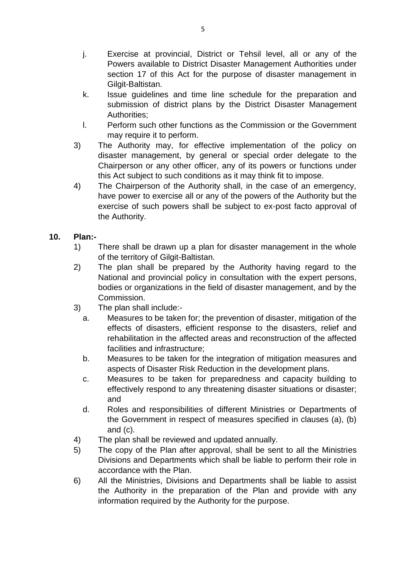- j. Exercise at provincial, District or Tehsil level, all or any of the Powers available to District Disaster Management Authorities under section 17 of this Act for the purpose of disaster management in Gilgit-Baltistan.
- k. Issue guidelines and time line schedule for the preparation and submission of district plans by the District Disaster Management Authorities;
- l. Perform such other functions as the Commission or the Government may require it to perform.
- 3) The Authority may, for effective implementation of the policy on disaster management, by general or special order delegate to the Chairperson or any other officer, any of its powers or functions under this Act subject to such conditions as it may think fit to impose.
- 4) The Chairperson of the Authority shall, in the case of an emergency, have power to exercise all or any of the powers of the Authority but the exercise of such powers shall be subject to ex-post facto approval of the Authority.

### **10. Plan:-**

- 1) There shall be drawn up a plan for disaster management in the whole of the territory of Gilgit-Baltistan.
- 2) The plan shall be prepared by the Authority having regard to the National and provincial policy in consultation with the expert persons, bodies or organizations in the field of disaster management, and by the Commission.
- 3) The plan shall include:
	- a. Measures to be taken for; the prevention of disaster, mitigation of the effects of disasters, efficient response to the disasters, relief and rehabilitation in the affected areas and reconstruction of the affected facilities and infrastructure;
	- b. Measures to be taken for the integration of mitigation measures and aspects of Disaster Risk Reduction in the development plans.
	- c. Measures to be taken for preparedness and capacity building to effectively respond to any threatening disaster situations or disaster; and
	- d. Roles and responsibilities of different Ministries or Departments of the Government in respect of measures specified in clauses (a), (b) and (c).
- 4) The plan shall be reviewed and updated annually.
- 5) The copy of the Plan after approval, shall be sent to all the Ministries Divisions and Departments which shall be liable to perform their role in accordance with the Plan.
- 6) All the Ministries, Divisions and Departments shall be liable to assist the Authority in the preparation of the Plan and provide with any information required by the Authority for the purpose.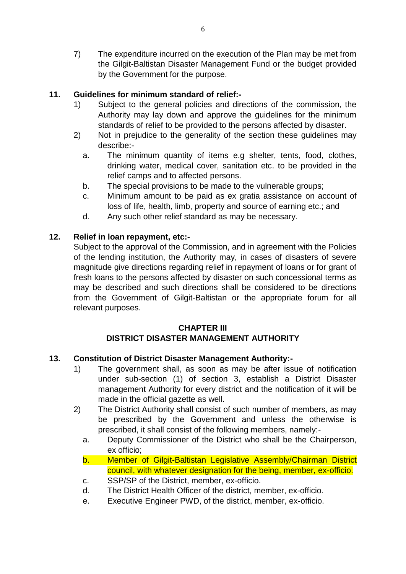7) The expenditure incurred on the execution of the Plan may be met from the Gilgit-Baltistan Disaster Management Fund or the budget provided by the Government for the purpose.

### **11. Guidelines for minimum standard of relief:-**

- 1) Subject to the general policies and directions of the commission, the Authority may lay down and approve the guidelines for the minimum standards of relief to be provided to the persons affected by disaster.
- 2) Not in prejudice to the generality of the section these guidelines may describe:
	- a. The minimum quantity of items e.g shelter, tents, food, clothes, drinking water, medical cover, sanitation etc. to be provided in the relief camps and to affected persons.
	- b. The special provisions to be made to the vulnerable groups;
	- c. Minimum amount to be paid as ex gratia assistance on account of loss of life, health, limb, property and source of earning etc.; and
	- d. Any such other relief standard as may be necessary.

### **12. Relief in loan repayment, etc:-**

Subject to the approval of the Commission, and in agreement with the Policies of the lending institution, the Authority may, in cases of disasters of severe magnitude give directions regarding relief in repayment of loans or for grant of fresh loans to the persons affected by disaster on such concessional terms as may be described and such directions shall be considered to be directions from the Government of Gilgit-Baltistan or the appropriate forum for all relevant purposes.

#### **CHAPTER III DISTRICT DISASTER MANAGEMENT AUTHORITY**

### **13. Constitution of District Disaster Management Authority:-**

- 1) The government shall, as soon as may be after issue of notification under sub-section (1) of section 3, establish a District Disaster management Authority for every district and the notification of it will be made in the official gazette as well.
- 2) The District Authority shall consist of such number of members, as may be prescribed by the Government and unless the otherwise is prescribed, it shall consist of the following members, namely:
	- a. Deputy Commissioner of the District who shall be the Chairperson, ex officio;
	- b. Member of Gilgit-Baltistan Legislative Assembly/Chairman District council, with whatever designation for the being, member, ex-officio.
	- c. SSP/SP of the District, member, ex-officio.
	- d. The District Health Officer of the district, member, ex-officio.
	- e. Executive Engineer PWD, of the district, member, ex-officio.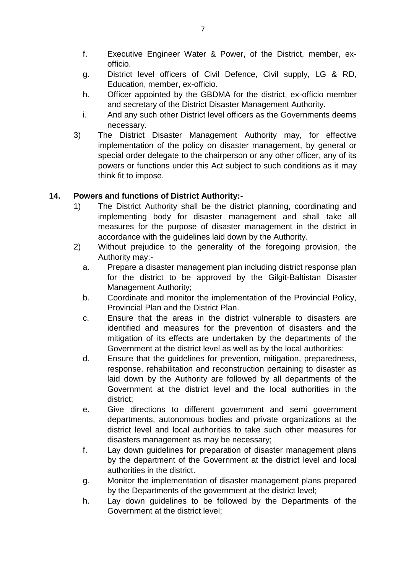- f. Executive Engineer Water & Power, of the District, member, exofficio.
- g. District level officers of Civil Defence, Civil supply, LG & RD, Education, member, ex-officio.
- h. Officer appointed by the GBDMA for the district, ex-officio member and secretary of the District Disaster Management Authority.
- i. And any such other District level officers as the Governments deems necessary.
- 3) The District Disaster Management Authority may, for effective implementation of the policy on disaster management, by general or special order delegate to the chairperson or any other officer, any of its powers or functions under this Act subject to such conditions as it may think fit to impose.

### **14. Powers and functions of District Authority:-**

- 1) The District Authority shall be the district planning, coordinating and implementing body for disaster management and shall take all measures for the purpose of disaster management in the district in accordance with the guidelines laid down by the Authority.
- 2) Without prejudice to the generality of the foregoing provision, the Authority may:
	- a. Prepare a disaster management plan including district response plan for the district to be approved by the Gilgit-Baltistan Disaster Management Authority;
	- b. Coordinate and monitor the implementation of the Provincial Policy, Provincial Plan and the District Plan.
	- c. Ensure that the areas in the district vulnerable to disasters are identified and measures for the prevention of disasters and the mitigation of its effects are undertaken by the departments of the Government at the district level as well as by the local authorities;
	- d. Ensure that the guidelines for prevention, mitigation, preparedness, response, rehabilitation and reconstruction pertaining to disaster as laid down by the Authority are followed by all departments of the Government at the district level and the local authorities in the district;
	- e. Give directions to different government and semi government departments, autonomous bodies and private organizations at the district level and local authorities to take such other measures for disasters management as may be necessary;
	- f. Lay down guidelines for preparation of disaster management plans by the department of the Government at the district level and local authorities in the district.
	- g. Monitor the implementation of disaster management plans prepared by the Departments of the government at the district level;
	- h. Lay down guidelines to be followed by the Departments of the Government at the district level;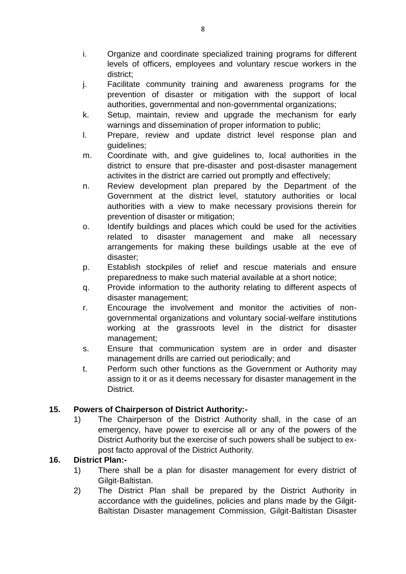- i. Organize and coordinate specialized training programs for different levels of officers, employees and voluntary rescue workers in the district;
- j. Facilitate community training and awareness programs for the prevention of disaster or mitigation with the support of local authorities, governmental and non-governmental organizations;
- k. Setup, maintain, review and upgrade the mechanism for early warnings and dissemination of proper information to public;
- l. Prepare, review and update district level response plan and guidelines;
- m. Coordinate with, and give guidelines to, local authorities in the district to ensure that pre-disaster and post-disaster management activites in the district are carried out promptly and effectively;
- n. Review development plan prepared by the Department of the Government at the district level, statutory authorities or local authorities with a view to make necessary provisions therein for prevention of disaster or mitigation;
- o. Identify buildings and places which could be used for the activities related to disaster management and make all necessary arrangements for making these buildings usable at the eve of disaster;
- p. Establish stockpiles of relief and rescue materials and ensure preparedness to make such material available at a short notice;
- q. Provide information to the authority relating to different aspects of disaster management;
- r. Encourage the involvement and monitor the activities of nongovernmental organizations and voluntary social-welfare institutions working at the grassroots level in the district for disaster management;
- s. Ensure that communication system are in order and disaster management drills are carried out periodically; and
- t. Perform such other functions as the Government or Authority may assign to it or as it deems necessary for disaster management in the District.

# **15. Powers of Chairperson of District Authority:-**

1) The Chairperson of the District Authority shall, in the case of an emergency, have power to exercise all or any of the powers of the District Authority but the exercise of such powers shall be subject to expost facto approval of the District Authority.

### **16. District Plan:-**

- 1) There shall be a plan for disaster management for every district of Gilgit-Baltistan.
- 2) The District Plan shall be prepared by the District Authority in accordance with the guidelines, policies and plans made by the Gilgit-Baltistan Disaster management Commission, Gilgit-Baltistan Disaster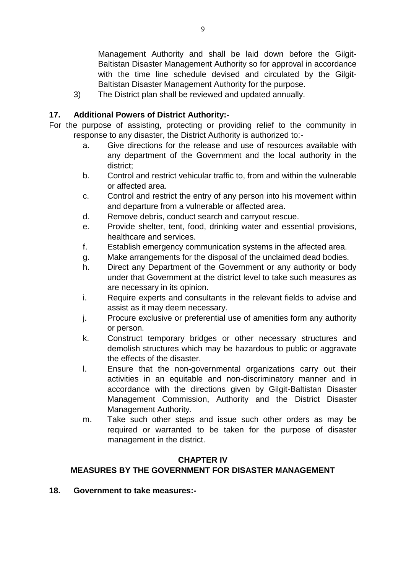Management Authority and shall be laid down before the Gilgit-Baltistan Disaster Management Authority so for approval in accordance with the time line schedule devised and circulated by the Gilgit-Baltistan Disaster Management Authority for the purpose.

3) The District plan shall be reviewed and updated annually.

#### **17. Additional Powers of District Authority:-**

- For the purpose of assisting, protecting or providing relief to the community in response to any disaster, the District Authority is authorized to:
	- a. Give directions for the release and use of resources available with any department of the Government and the local authority in the district;
	- b. Control and restrict vehicular traffic to, from and within the vulnerable or affected area.
	- c. Control and restrict the entry of any person into his movement within and departure from a vulnerable or affected area.
	- d. Remove debris, conduct search and carryout rescue.
	- e. Provide shelter, tent, food, drinking water and essential provisions, healthcare and services.
	- f. Establish emergency communication systems in the affected area.
	- g. Make arrangements for the disposal of the unclaimed dead bodies.
	- h. Direct any Department of the Government or any authority or body under that Government at the district level to take such measures as are necessary in its opinion.
	- i. Require experts and consultants in the relevant fields to advise and assist as it may deem necessary.
	- j. Procure exclusive or preferential use of amenities form any authority or person.
	- k. Construct temporary bridges or other necessary structures and demolish structures which may be hazardous to public or aggravate the effects of the disaster.
	- l. Ensure that the non-governmental organizations carry out their activities in an equitable and non-discriminatory manner and in accordance with the directions given by Gilgit-Baltistan Disaster Management Commission, Authority and the District Disaster Management Authority.
	- m. Take such other steps and issue such other orders as may be required or warranted to be taken for the purpose of disaster management in the district.

#### **CHAPTER IV**

### **MEASURES BY THE GOVERNMENT FOR DISASTER MANAGEMENT**

**18. Government to take measures:-**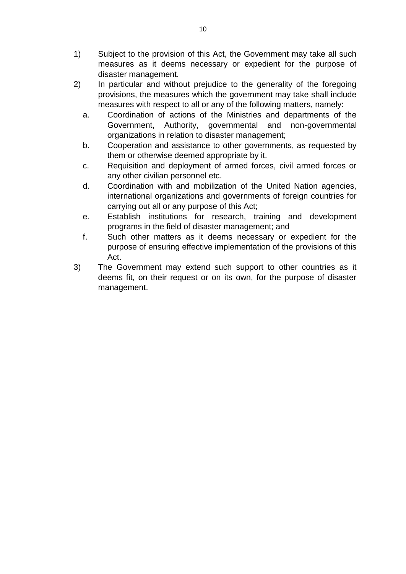- 1) Subject to the provision of this Act, the Government may take all such measures as it deems necessary or expedient for the purpose of disaster management.
- 2) In particular and without prejudice to the generality of the foregoing provisions, the measures which the government may take shall include measures with respect to all or any of the following matters, namely:
	- a. Coordination of actions of the Ministries and departments of the Government, Authority, governmental and non-governmental organizations in relation to disaster management;
	- b. Cooperation and assistance to other governments, as requested by them or otherwise deemed appropriate by it.
	- c. Requisition and deployment of armed forces, civil armed forces or any other civilian personnel etc.
	- d. Coordination with and mobilization of the United Nation agencies, international organizations and governments of foreign countries for carrying out all or any purpose of this Act;
	- e. Establish institutions for research, training and development programs in the field of disaster management; and
	- f. Such other matters as it deems necessary or expedient for the purpose of ensuring effective implementation of the provisions of this Act.
- 3) The Government may extend such support to other countries as it deems fit, on their request or on its own, for the purpose of disaster management.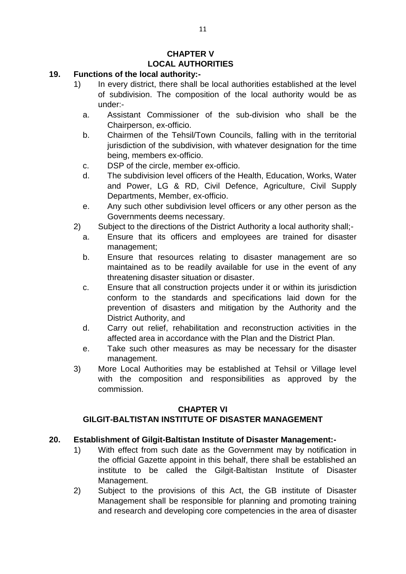# **CHAPTER V LOCAL AUTHORITIES**

#### **19. Functions of the local authority:-**

- 1) In every district, there shall be local authorities established at the level of subdivision. The composition of the local authority would be as under:
	- a. Assistant Commissioner of the sub-division who shall be the Chairperson, ex-officio.
	- b. Chairmen of the Tehsil/Town Councils, falling with in the territorial jurisdiction of the subdivision, with whatever designation for the time being, members ex-officio.
	- c. DSP of the circle, member ex-officio.
	- d. The subdivision level officers of the Health, Education, Works, Water and Power, LG & RD, Civil Defence, Agriculture, Civil Supply Departments, Member, ex-officio.
	- e. Any such other subdivision level officers or any other person as the Governments deems necessary.
- 2) Subject to the directions of the District Authority a local authority shall;
	- a. Ensure that its officers and employees are trained for disaster management;
	- b. Ensure that resources relating to disaster management are so maintained as to be readily available for use in the event of any threatening disaster situation or disaster.
	- c. Ensure that all construction projects under it or within its jurisdiction conform to the standards and specifications laid down for the prevention of disasters and mitigation by the Authority and the District Authority, and
	- d. Carry out relief, rehabilitation and reconstruction activities in the affected area in accordance with the Plan and the District Plan.
	- e. Take such other measures as may be necessary for the disaster management.
- 3) More Local Authorities may be established at Tehsil or Village level with the composition and responsibilities as approved by the commission.

#### **CHAPTER VI**

# **GILGIT-BALTISTAN INSTITUTE OF DISASTER MANAGEMENT**

### **20. Establishment of Gilgit-Baltistan Institute of Disaster Management:-**

- 1) With effect from such date as the Government may by notification in the official Gazette appoint in this behalf, there shall be established an institute to be called the Gilgit-Baltistan Institute of Disaster Management.
- 2) Subject to the provisions of this Act, the GB institute of Disaster Management shall be responsible for planning and promoting training and research and developing core competencies in the area of disaster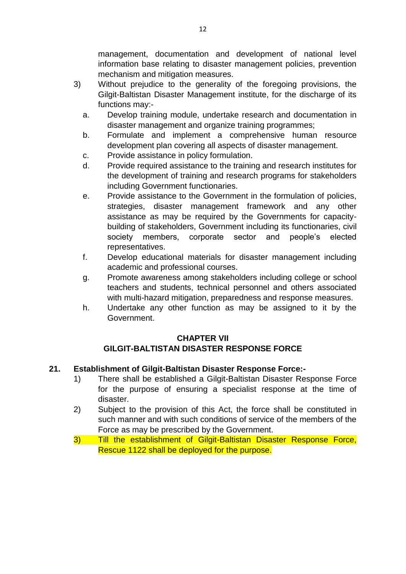management, documentation and development of national level information base relating to disaster management policies, prevention mechanism and mitigation measures.

- 3) Without prejudice to the generality of the foregoing provisions, the Gilgit-Baltistan Disaster Management institute, for the discharge of its functions may:
	- a. Develop training module, undertake research and documentation in disaster management and organize training programmes;
	- b. Formulate and implement a comprehensive human resource development plan covering all aspects of disaster management.
	- c. Provide assistance in policy formulation.
	- d. Provide required assistance to the training and research institutes for the development of training and research programs for stakeholders including Government functionaries.
	- e. Provide assistance to the Government in the formulation of policies, strategies, disaster management framework and any other assistance as may be required by the Governments for capacitybuilding of stakeholders, Government including its functionaries, civil society members, corporate sector and people's elected representatives.
	- f. Develop educational materials for disaster management including academic and professional courses.
	- g. Promote awareness among stakeholders including college or school teachers and students, technical personnel and others associated with multi-hazard mitigation, preparedness and response measures.
	- h. Undertake any other function as may be assigned to it by the Government.

### **CHAPTER VII GILGIT-BALTISTAN DISASTER RESPONSE FORCE**

### **21. Establishment of Gilgit-Baltistan Disaster Response Force:-**

- 1) There shall be established a Gilgit-Baltistan Disaster Response Force for the purpose of ensuring a specialist response at the time of disaster.
- 2) Subject to the provision of this Act, the force shall be constituted in such manner and with such conditions of service of the members of the Force as may be prescribed by the Government.
- 3) Till the establishment of Gilgit-Baltistan Disaster Response Force, Rescue 1122 shall be deployed for the purpose.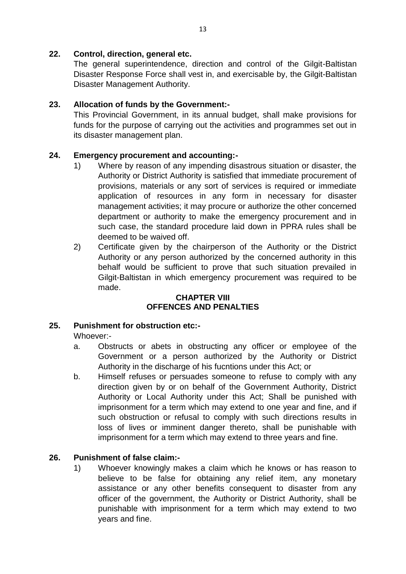#### **22. Control, direction, general etc.**

The general superintendence, direction and control of the Gilgit-Baltistan Disaster Response Force shall vest in, and exercisable by, the Gilgit-Baltistan Disaster Management Authority.

### **23. Allocation of funds by the Government:-**

This Provincial Government, in its annual budget, shall make provisions for funds for the purpose of carrying out the activities and programmes set out in its disaster management plan.

### **24. Emergency procurement and accounting:-**

- 1) Where by reason of any impending disastrous situation or disaster, the Authority or District Authority is satisfied that immediate procurement of provisions, materials or any sort of services is required or immediate application of resources in any form in necessary for disaster management activities; it may procure or authorize the other concerned department or authority to make the emergency procurement and in such case, the standard procedure laid down in PPRA rules shall be deemed to be waived off.
- 2) Certificate given by the chairperson of the Authority or the District Authority or any person authorized by the concerned authority in this behalf would be sufficient to prove that such situation prevailed in Gilgit-Baltistan in which emergency procurement was required to be made.

#### **CHAPTER VIII OFFENCES AND PENALTIES**

### **25. Punishment for obstruction etc:-**

Whoever:-

- a. Obstructs or abets in obstructing any officer or employee of the Government or a person authorized by the Authority or District Authority in the discharge of his fucntions under this Act; or
- b. Himself refuses or persuades someone to refuse to comply with any direction given by or on behalf of the Government Authority, District Authority or Local Authority under this Act; Shall be punished with imprisonment for a term which may extend to one year and fine, and if such obstruction or refusal to comply with such directions results in loss of lives or imminent danger thereto, shall be punishable with imprisonment for a term which may extend to three years and fine.

### **26. Punishment of false claim:-**

1) Whoever knowingly makes a claim which he knows or has reason to believe to be false for obtaining any relief item, any monetary assistance or any other benefits consequent to disaster from any officer of the government, the Authority or District Authority, shall be punishable with imprisonment for a term which may extend to two years and fine.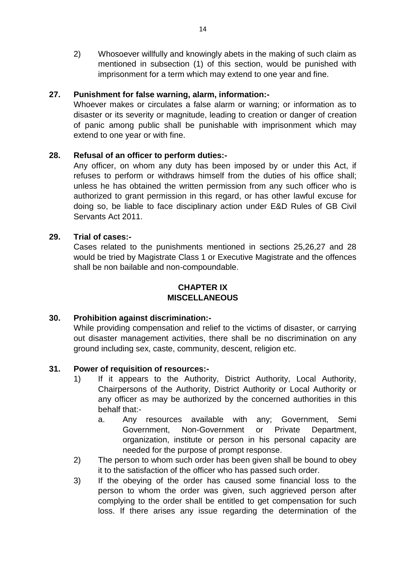2) Whosoever willfully and knowingly abets in the making of such claim as mentioned in subsection (1) of this section, would be punished with imprisonment for a term which may extend to one year and fine.

#### **27. Punishment for false warning, alarm, information:-**

Whoever makes or circulates a false alarm or warning; or information as to disaster or its severity or magnitude, leading to creation or danger of creation of panic among public shall be punishable with imprisonment which may extend to one year or with fine.

#### **28. Refusal of an officer to perform duties:-**

Any officer, on whom any duty has been imposed by or under this Act, if refuses to perform or withdraws himself from the duties of his office shall; unless he has obtained the written permission from any such officer who is authorized to grant permission in this regard, or has other lawful excuse for doing so, be liable to face disciplinary action under E&D Rules of GB Civil Servants Act 2011.

#### **29. Trial of cases:-**

Cases related to the punishments mentioned in sections 25,26,27 and 28 would be tried by Magistrate Class 1 or Executive Magistrate and the offences shall be non bailable and non-compoundable.

### **CHAPTER IX MISCELLANEOUS**

#### **30. Prohibition against discrimination:-**

While providing compensation and relief to the victims of disaster, or carrying out disaster management activities, there shall be no discrimination on any ground including sex, caste, community, descent, religion etc.

#### **31. Power of requisition of resources:-**

- 1) If it appears to the Authority, District Authority, Local Authority, Chairpersons of the Authority, District Authority or Local Authority or any officer as may be authorized by the concerned authorities in this behalf that:
	- a. Any resources available with any; Government, Semi Government, Non-Government or Private Department, organization, institute or person in his personal capacity are needed for the purpose of prompt response.
- 2) The person to whom such order has been given shall be bound to obey it to the satisfaction of the officer who has passed such order.
- 3) If the obeying of the order has caused some financial loss to the person to whom the order was given, such aggrieved person after complying to the order shall be entitled to get compensation for such loss. If there arises any issue regarding the determination of the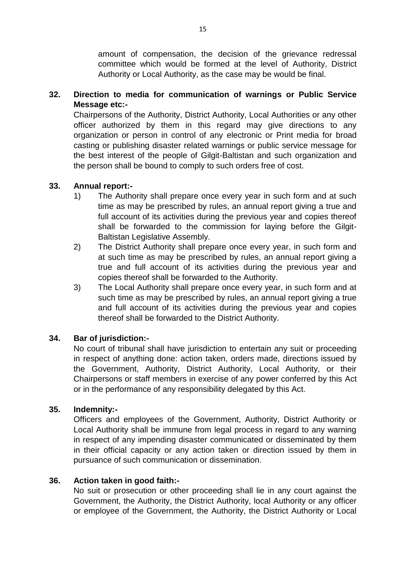amount of compensation, the decision of the grievance redressal committee which would be formed at the level of Authority, District Authority or Local Authority, as the case may be would be final.

### **32. Direction to media for communication of warnings or Public Service Message etc:-**

Chairpersons of the Authority, District Authority, Local Authorities or any other officer authorized by them in this regard may give directions to any organization or person in control of any electronic or Print media for broad casting or publishing disaster related warnings or public service message for the best interest of the people of Gilgit-Baltistan and such organization and the person shall be bound to comply to such orders free of cost.

#### **33. Annual report:-**

- 1) The Authority shall prepare once every year in such form and at such time as may be prescribed by rules, an annual report giving a true and full account of its activities during the previous year and copies thereof shall be forwarded to the commission for laying before the Gilgit-Baltistan Legislative Assembly.
- 2) The District Authority shall prepare once every year, in such form and at such time as may be prescribed by rules, an annual report giving a true and full account of its activities during the previous year and copies thereof shall be forwarded to the Authority.
- 3) The Local Authority shall prepare once every year, in such form and at such time as may be prescribed by rules, an annual report giving a true and full account of its activities during the previous year and copies thereof shall be forwarded to the District Authority.

### **34. Bar of jurisdiction:-**

No court of tribunal shall have jurisdiction to entertain any suit or proceeding in respect of anything done: action taken, orders made, directions issued by the Government, Authority, District Authority, Local Authority, or their Chairpersons or staff members in exercise of any power conferred by this Act or in the performance of any responsibility delegated by this Act.

#### **35. Indemnity:-**

Officers and employees of the Government, Authority, District Authority or Local Authority shall be immune from legal process in regard to any warning in respect of any impending disaster communicated or disseminated by them in their official capacity or any action taken or direction issued by them in pursuance of such communication or dissemination.

#### **36. Action taken in good faith:-**

No suit or prosecution or other proceeding shall lie in any court against the Government, the Authority, the District Authority, local Authority or any officer or employee of the Government, the Authority, the District Authority or Local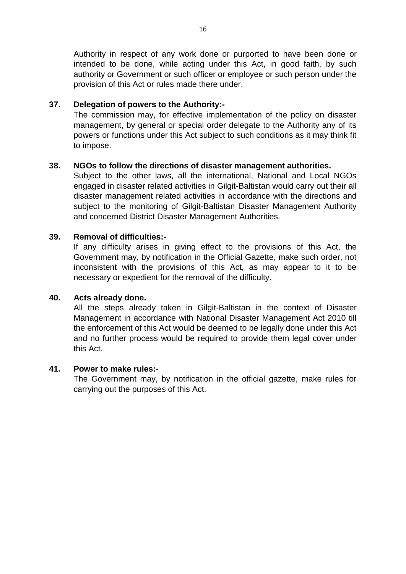Authority in respect of any work done or purported to have been done or intended to be done, while acting under this Act, in good faith, by such authority or Government or such officer or employee or such person under the provision of this Act or rules made there under.

#### **37. Delegation of powers to the Authority:-**

The commission may, for effective implementation of the policy on disaster management, by general or special order delegate to the Authority any of its powers or functions under this Act subject to such conditions as it may think fit to impose.

#### **38. NGOs to follow the directions of disaster management authorities.**

Subject to the other laws, all the international, National and Local NGOs engaged in disaster related activities in Gilgit-Baltistan would carry out their all disaster management related activities in accordance with the directions and subject to the monitoring of Gilgit-Baltistan Disaster Management Authority and concerned District Disaster Management Authorities.

#### **39. Removal of difficulties:-**

If any difficulty arises in giving effect to the provisions of this Act, the Government may, by notification in the Official Gazette, make such order, not inconsistent with the provisions of this Act, as may appear to it to be necessary or expedient for the removal of the difficulty.

#### **40. Acts already done.**

All the steps already taken in Gilgit-Baltistan in the context of Disaster Management in accordance with National Disaster Management Act 2010 till the enforcement of this Act would be deemed to be legally done under this Act and no further process would be required to provide them legal cover under this Act.

#### **41. Power to make rules:-**

The Government may, by notification in the official gazette, make rules for carrying out the purposes of this Act.